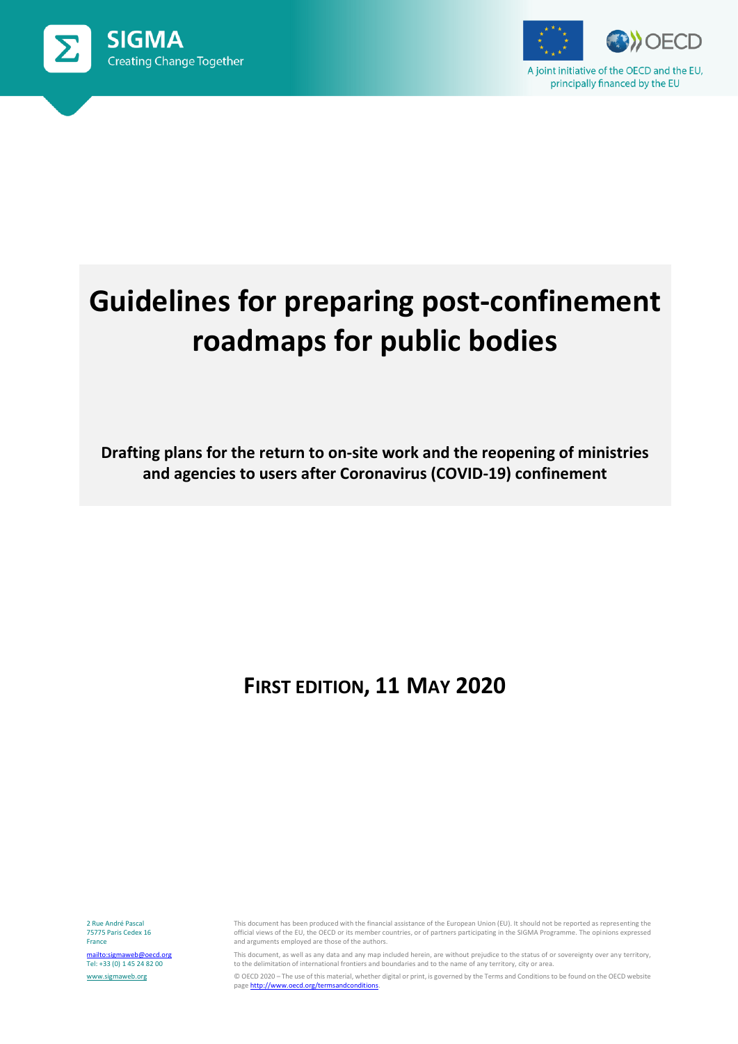



# **Guidelines for preparing post-confinement roadmaps for public bodies**

**Drafting plans for the return to on-site work and the reopening of ministries and agencies to users after Coronavirus (COVID-19) confinement**

# **FIRST EDITION, 11 MAY 2020**

2 Rue André Pascal 75775 Paris Cedex 16 France <mailto:sigmaweb@oecd.org> Tel: +33 (0) 1 45 24 82 00 [www.sigmaweb.org](http://www.sigmaweb.org/)

This document has been produced with the financial assistance of the European Union (EU). It should not be reported as representing the official views of the EU, the OECD or its member countries, or of partners participating in the SIGMA Programme. The opinions expressed and arguments employed are those of the authors.

This document, as well as any data and any map included herein, are without prejudice to the status of or sovereignty over any territory, to the delimitation of international frontiers and boundaries and to the name of any territory, city or area.

© OECD 2020 – The use of this material, whether digital or print, is governed by the Terms and Conditions to be found on the OECD website page http://www.oecd.org/termsandconditions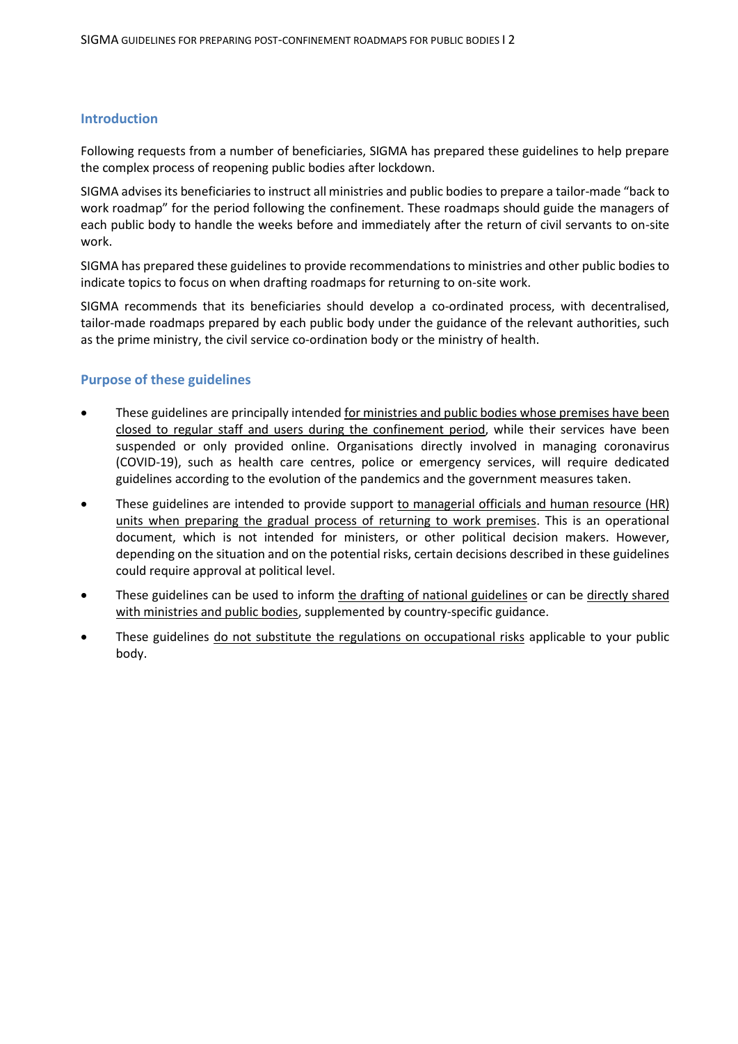# **Introduction**

Following requests from a number of beneficiaries, SIGMA has prepared these guidelines to help prepare the complex process of reopening public bodies after lockdown.

SIGMA advises its beneficiaries to instruct all ministries and public bodies to prepare a tailor-made "back to work roadmap" for the period following the confinement. These roadmaps should guide the managers of each public body to handle the weeks before and immediately after the return of civil servants to on-site work.

SIGMA has prepared these guidelines to provide recommendations to ministries and other public bodies to indicate topics to focus on when drafting roadmaps for returning to on-site work.

SIGMA recommends that its beneficiaries should develop a co-ordinated process, with decentralised, tailor-made roadmaps prepared by each public body under the guidance of the relevant authorities, such as the prime ministry, the civil service co-ordination body or the ministry of health.

# **Purpose of these guidelines**

- These guidelines are principally intended for ministries and public bodies whose premises have been closed to regular staff and users during the confinement period, while their services have been suspended or only provided online. Organisations directly involved in managing coronavirus (COVID-19), such as health care centres, police or emergency services, will require dedicated guidelines according to the evolution of the pandemics and the government measures taken.
- These guidelines are intended to provide support to managerial officials and human resource (HR) units when preparing the gradual process of returning to work premises. This is an operational document, which is not intended for ministers, or other political decision makers. However, depending on the situation and on the potential risks, certain decisions described in these guidelines could require approval at political level.
- These guidelines can be used to inform the drafting of national guidelines or can be directly shared with ministries and public bodies, supplemented by country-specific guidance.
- These guidelines do not substitute the regulations on occupational risks applicable to your public body.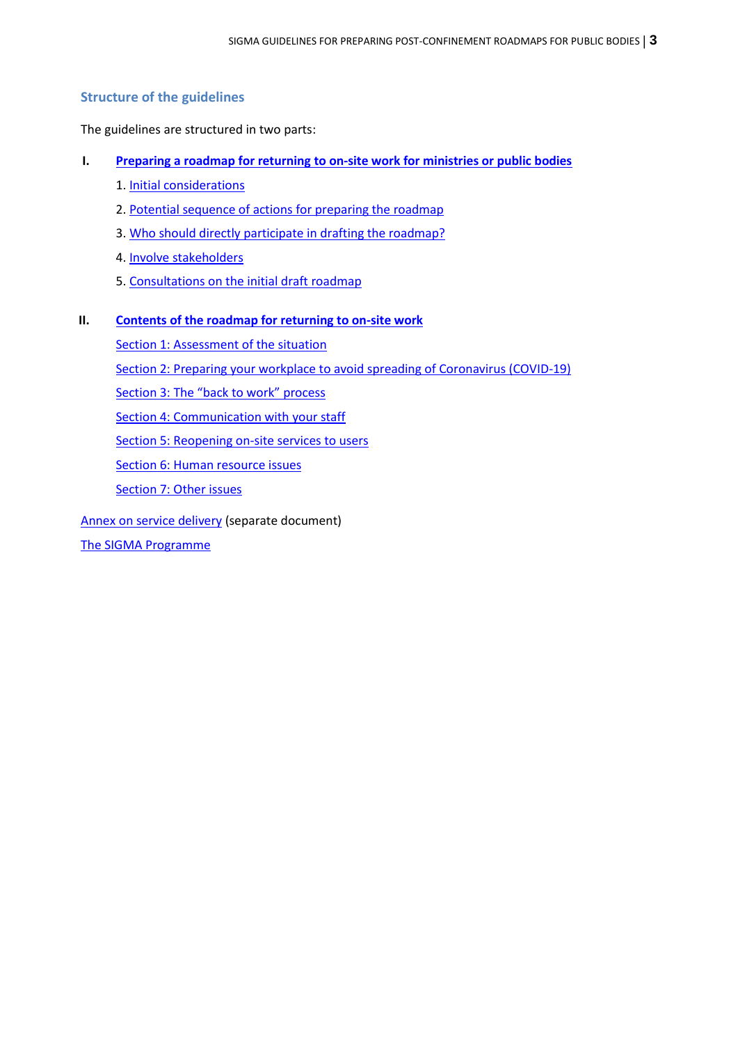# **Structure of the guidelines**

The guidelines are structured in two parts:

- **I. Preparing a roadmap for returning to on-site work [for ministries or public bodies](#page-3-0)**
	- 1. [Initial considerations](#page-3-1)
	- 2. [Potential sequence of actions for preparing the](#page-3-2) roadmap
	- 3. [Who should directly participate in drafting the roadmap?](#page-4-0)
	- 4. [Involve stakeholders](#page-4-1)
	- 5. [Consultations on the initial draft roadmap](#page-4-2)
- **II. Contents of [the roadmap for returning to on-site](#page-5-0) work**

Section [1: Assessment of the situation](#page-6-0) Section [2: Preparing your workplace to avoid spreading of](#page-7-0) Coronavirus (COVID-19) Section 3: The "back [to work" process](#page-8-0) Section [4: Communication with your staff](#page-11-0) Section [5: Reopening on-site services to users](#page-13-0) Section [6: Human resource issues](#page-17-0) Section [7: Other issues](#page-20-0)

[Annex on service delivery](http://www.sigmaweb.org/publications/SIGMA-post-confinement-roadmaps-public-bodies-guidelines-annex-service-delivery-5-june-2020.pdf) (separate document)

[The SIGMA Programme](#page-22-0)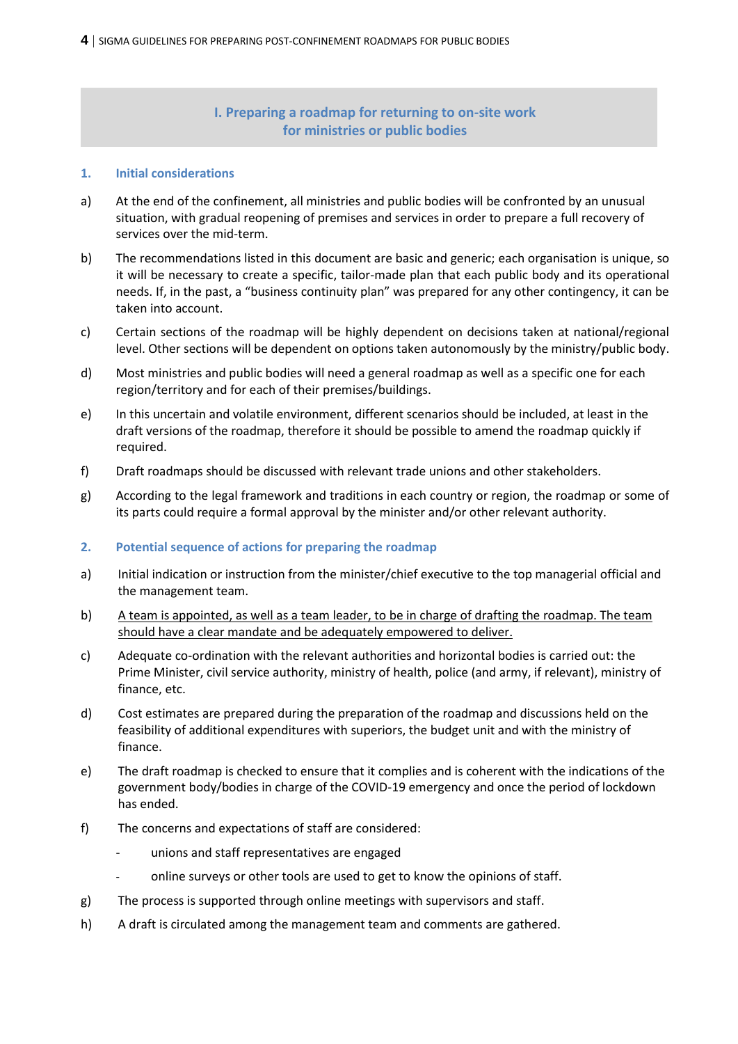# **I. Preparing a roadmap for returning to on-site work for ministries or public bodies**

#### <span id="page-3-1"></span><span id="page-3-0"></span>**1. Initial considerations**

- a) At the end of the confinement, all ministries and public bodies will be confronted by an unusual situation, with gradual reopening of premises and services in order to prepare a full recovery of services over the mid-term.
- b) The recommendations listed in this document are basic and generic; each organisation is unique, so it will be necessary to create a specific, tailor-made plan that each public body and its operational needs. If, in the past, a "business continuity plan" was prepared for any other contingency, it can be taken into account.
- c) Certain sections of the roadmap will be highly dependent on decisions taken at national/regional level. Other sections will be dependent on options taken autonomously by the ministry/public body.
- d) Most ministries and public bodies will need a general roadmap as well as a specific one for each region/territory and for each of their premises/buildings.
- e) In this uncertain and volatile environment, different scenarios should be included, at least in the draft versions of the roadmap, therefore it should be possible to amend the roadmap quickly if required.
- f) Draft roadmaps should be discussed with relevant trade unions and other stakeholders.
- g) According to the legal framework and traditions in each country or region, the roadmap or some of its parts could require a formal approval by the minister and/or other relevant authority.

# <span id="page-3-2"></span>**2. Potential sequence of actions for preparing the roadmap**

- a) Initial indication or instruction from the minister/chief executive to the top managerial official and the management team.
- b) A team is appointed, as well as a team leader, to be in charge of drafting the roadmap. The team should have a clear mandate and be adequately empowered to deliver.
- c) Adequate co-ordination with the relevant authorities and horizontal bodies is carried out: the Prime Minister, civil service authority, ministry of health, police (and army, if relevant), ministry of finance, etc.
- d) Cost estimates are prepared during the preparation of the roadmap and discussions held on the feasibility of additional expenditures with superiors, the budget unit and with the ministry of finance.
- e) The draft roadmap is checked to ensure that it complies and is coherent with the indications of the government body/bodies in charge of the COVID-19 emergency and once the period of lockdown has ended.
- f) The concerns and expectations of staff are considered:
	- unions and staff representatives are engaged
	- online surveys or other tools are used to get to know the opinions of staff.
- g) The process is supported through online meetings with supervisors and staff.
- h) A draft is circulated among the management team and comments are gathered.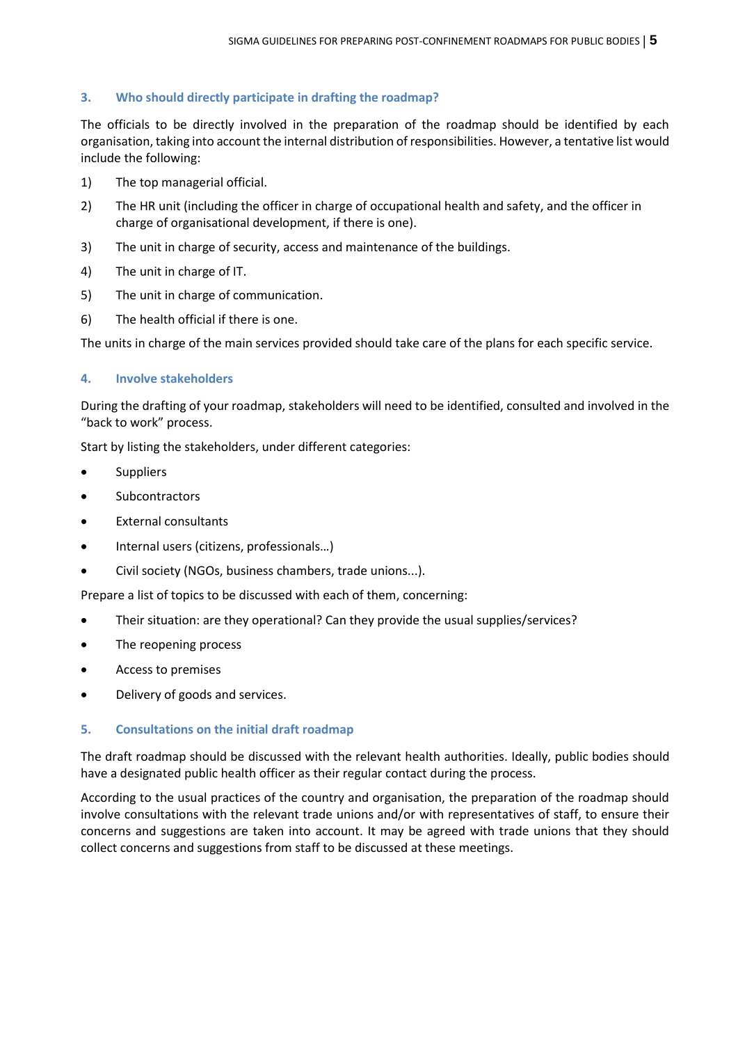# <span id="page-4-0"></span>**3. Who should directly participate in drafting the roadmap?**

The officials to be directly involved in the preparation of the roadmap should be identified by each organisation, taking into account the internal distribution of responsibilities. However, a tentative list would include the following:

- 1) The top managerial official.
- 2) The HR unit (including the officer in charge of occupational health and safety, and the officer in charge of organisational development, if there is one).
- 3) The unit in charge of security, access and maintenance of the buildings.
- 4) The unit in charge of IT.
- 5) The unit in charge of communication.
- 6) The health official if there is one.

The units in charge of the main services provided should take care of the plans for each specific service.

# <span id="page-4-1"></span>**4. Involve stakeholders**

During the drafting of your roadmap, stakeholders will need to be identified, consulted and involved in the "back to work" process.

Start by listing the stakeholders, under different categories:

- Suppliers
- Subcontractors
- External consultants
- Internal users (citizens, professionals…)
- Civil society (NGOs, business chambers, trade unions...).

Prepare a list of topics to be discussed with each of them, concerning:

- Their situation: are they operational? Can they provide the usual supplies/services?
- The reopening process
- Access to premises
- Delivery of goods and services.

# <span id="page-4-2"></span>**5. Consultations on the initial draft roadmap**

The draft roadmap should be discussed with the relevant health authorities. Ideally, public bodies should have a designated public health officer as their regular contact during the process.

According to the usual practices of the country and organisation, the preparation of the roadmap should involve consultations with the relevant trade unions and/or with representatives of staff, to ensure their concerns and suggestions are taken into account. It may be agreed with trade unions that they should collect concerns and suggestions from staff to be discussed at these meetings.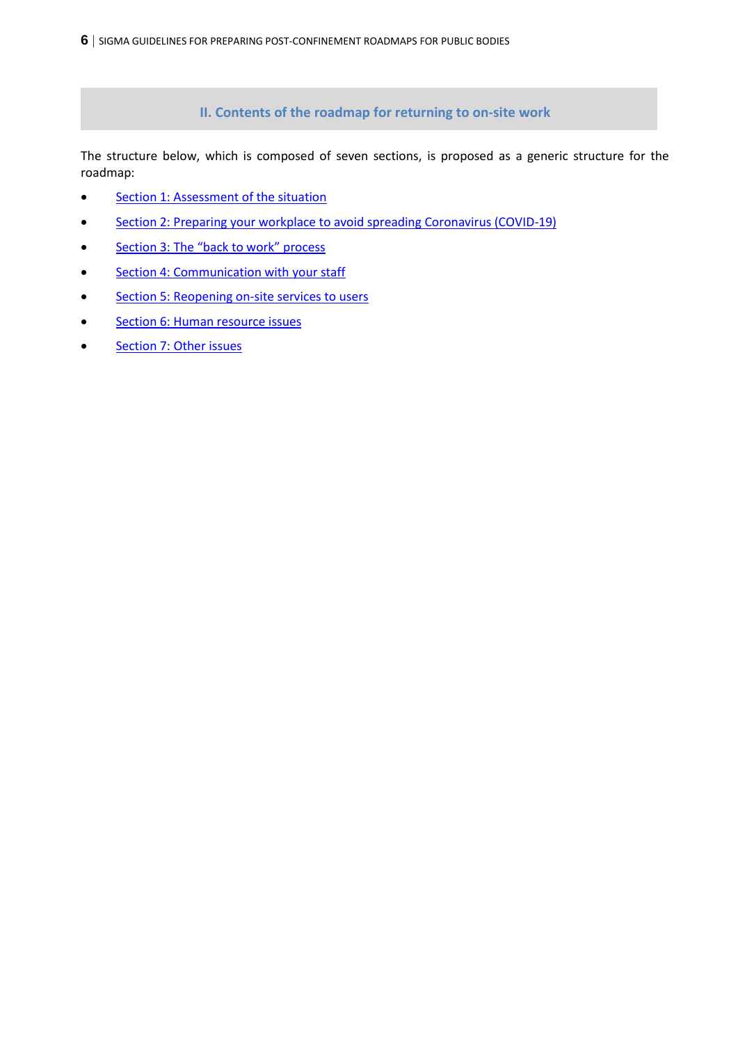**II. Contents of the roadmap for returning to on-site work**

<span id="page-5-0"></span>The structure below, which is composed of seven sections, is proposed as a generic structure for the roadmap:

- **Section [1: Assessment of the situation](#page-6-0)**
- **Section [2: Preparing your workplace to avoid spreading Coronavirus \(COVID-19\)](#page-7-0)**
- Section 3: The ["back to work" process](#page-8-0)
- **Section [4: Communication with your staff](#page-11-0)**
- Section [5: Reopening on-site services to users](#page-13-0)
- Section [6: Human resource](#page-17-0) issues
- **•** Section [7: Other issues](#page-20-0)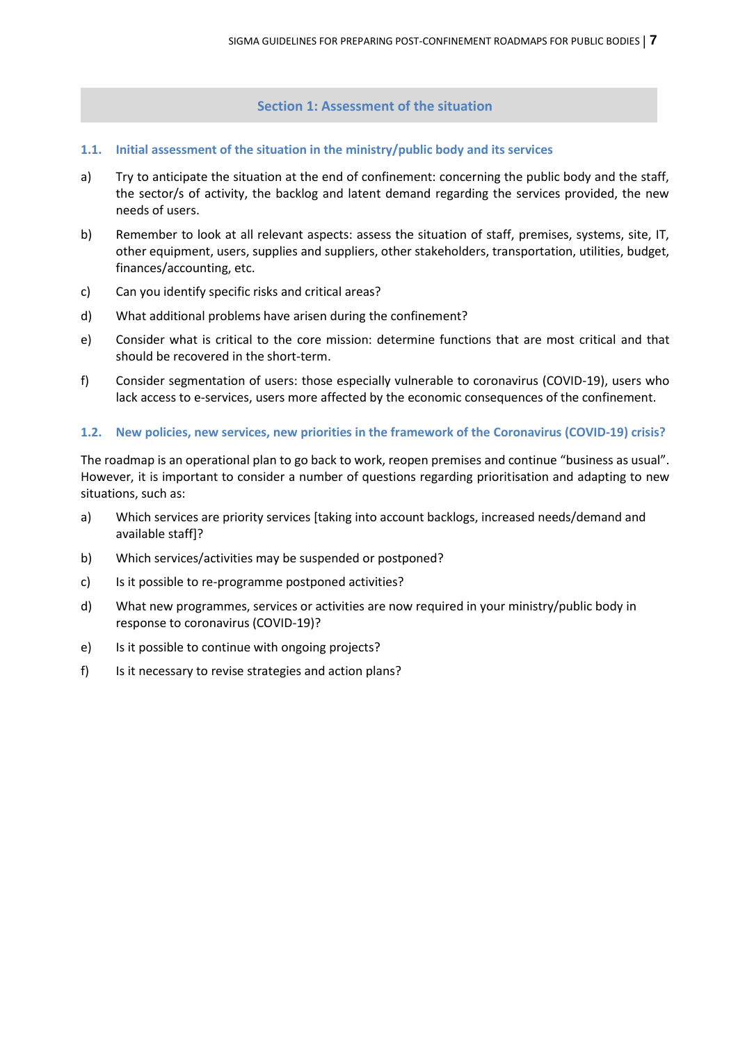# **Section 1: Assessment of the situation**

- <span id="page-6-0"></span>**1.1. Initial assessment of the situation in the ministry/public body and its services**
- a) Try to anticipate the situation at the end of confinement: concerning the public body and the staff, the sector/s of activity, the backlog and latent demand regarding the services provided, the new needs of users.
- b) Remember to look at all relevant aspects: assess the situation of staff, premises, systems, site, IT, other equipment, users, supplies and suppliers, other stakeholders, transportation, utilities, budget, finances/accounting, etc.
- c) Can you identify specific risks and critical areas?
- d) What additional problems have arisen during the confinement?
- e) Consider what is critical to the core mission: determine functions that are most critical and that should be recovered in the short-term.
- f) Consider segmentation of users: those especially vulnerable to coronavirus (COVID-19), users who lack access to e-services, users more affected by the economic consequences of the confinement.

#### **1.2. New policies, new services, new priorities in the framework of the Coronavirus (COVID-19) crisis?**

The roadmap is an operational plan to go back to work, reopen premises and continue "business as usual". However, it is important to consider a number of questions regarding prioritisation and adapting to new situations, such as:

- a) Which services are priority services [taking into account backlogs, increased needs/demand and available staff]?
- b) Which services/activities may be suspended or postponed?
- c) Is it possible to re-programme postponed activities?
- d) What new programmes, services or activities are now required in your ministry/public body in response to coronavirus (COVID-19)?
- e) Is it possible to continue with ongoing projects?
- f) Is it necessary to revise strategies and action plans?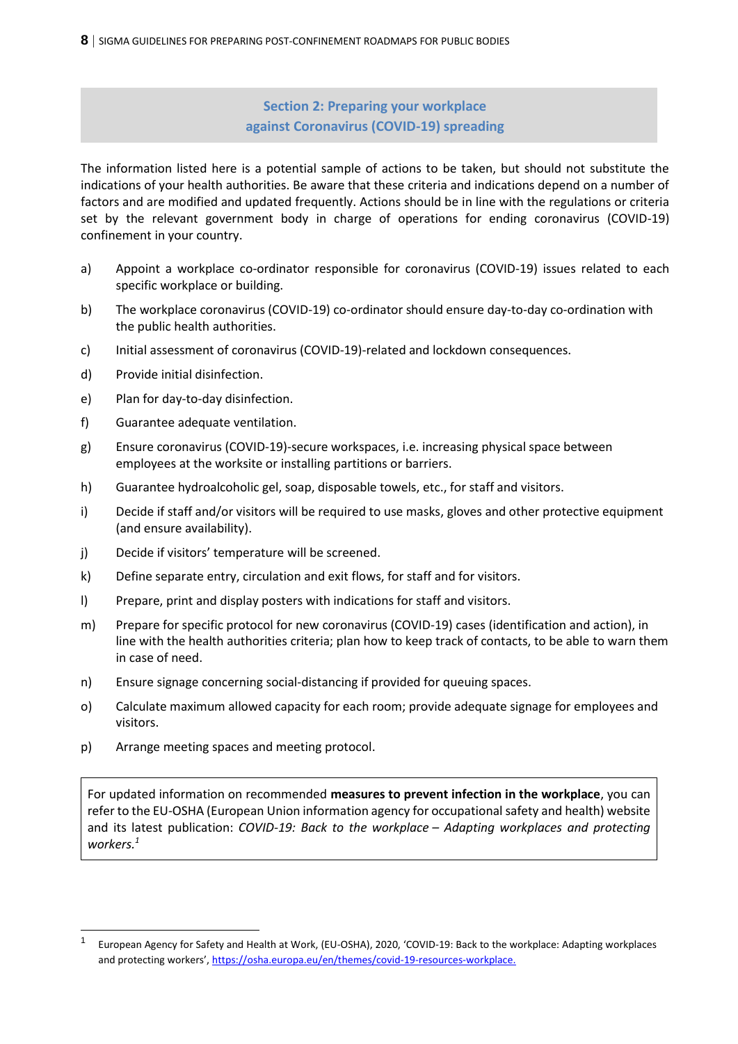**Section 2: Preparing your workplace against Coronavirus (COVID-19) spreading**

<span id="page-7-0"></span>The information listed here is a potential sample of actions to be taken, but should not substitute the indications of your health authorities. Be aware that these criteria and indications depend on a number of factors and are modified and updated frequently. Actions should be in line with the regulations or criteria set by the relevant government body in charge of operations for ending coronavirus (COVID-19) confinement in your country.

- a) Appoint a workplace co-ordinator responsible for coronavirus (COVID-19) issues related to each specific workplace or building.
- b) The workplace coronavirus (COVID-19) co-ordinator should ensure day-to-day co-ordination with the public health authorities.
- c) Initial assessment of coronavirus (COVID-19)-related and lockdown consequences.
- d) Provide initial disinfection.
- e) Plan for day-to-day disinfection.
- f) Guarantee adequate ventilation.
- g) Ensure coronavirus (COVID-19)-secure workspaces, i.e. increasing physical space between employees at the worksite or installing partitions or barriers.
- h) Guarantee hydroalcoholic gel, soap, disposable towels, etc., for staff and visitors.
- i) Decide if staff and/or visitors will be required to use masks, gloves and other protective equipment (and ensure availability).
- j) Decide if visitors' temperature will be screened.
- k) Define separate entry, circulation and exit flows, for staff and for visitors.
- l) Prepare, print and display posters with indications for staff and visitors.
- m) Prepare for specific protocol for new coronavirus (COVID-19) cases (identification and action), in line with the health authorities criteria; plan how to keep track of contacts, to be able to warn them in case of need.
- n) Ensure signage concerning social-distancing if provided for queuing spaces.
- o) Calculate maximum allowed capacity for each room; provide adequate signage for employees and visitors.
- p) Arrange meeting spaces and meeting protocol.

For updated information on recommended **measures to prevent infection in the workplace**, you can refer to the EU-OSHA (European Union information agency for occupational safety and health) website and its latest publication: *COVID-19: Back to the workplace – [Adapting workplaces and protecting](https://oshwiki.eu/wiki/COVID-19:_Back_to_the_workplace_-_Adapting_workplaces_and_protecting_workers)  [workers.](https://oshwiki.eu/wiki/COVID-19:_Back_to_the_workplace_-_Adapting_workplaces_and_protecting_workers)<sup>1</sup>*

<sup>1</sup> European Agency for Safety and Health at Work, (EU-OSHA), 2020, 'COVID-19: Back to the workplace: Adapting workplaces and protecting workers', [https://osha.europa.eu/en/themes/covid-19-resources-workplace.](https://osha.europa.eu/en/themes/covid-19-resources-workplace)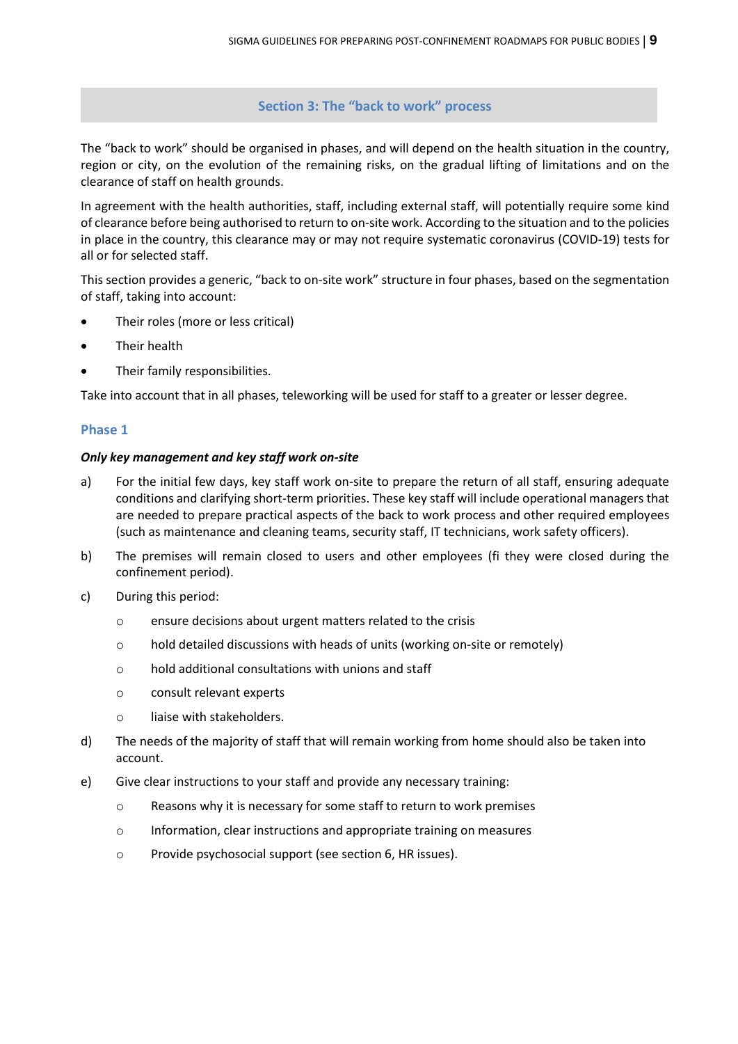**Section 3: The "back to work" process**

<span id="page-8-0"></span>The "back to work" should be organised in phases, and will depend on the health situation in the country, region or city, on the evolution of the remaining risks, on the gradual lifting of limitations and on the clearance of staff on health grounds.

In agreement with the health authorities, staff, including external staff, will potentially require some kind of clearance before being authorised to return to on-site work. According to the situation and to the policies in place in the country, this clearance may or may not require systematic coronavirus (COVID-19) tests for all or for selected staff.

This section provides a generic, "back to on-site work" structure in four phases, based on the segmentation of staff, taking into account:

- Their roles (more or less critical)
- Their health
- Their family responsibilities.

Take into account that in all phases, teleworking will be used for staff to a greater or lesser degree.

# **Phase 1**

# *Only key management and key staff work on-site*

- a) For the initial few days, key staff work on-site to prepare the return of all staff, ensuring adequate conditions and clarifying short-term priorities. These key staff will include operational managers that are needed to prepare practical aspects of the back to work process and other required employees (such as maintenance and cleaning teams, security staff, IT technicians, work safety officers).
- b) The premises will remain closed to users and other employees (fi they were closed during the confinement period).
- c) During this period:
	- o ensure decisions about urgent matters related to the crisis
	- o hold detailed discussions with heads of units (working on-site or remotely)
	- o hold additional consultations with unions and staff
	- o consult relevant experts
	- o liaise with stakeholders.
- d) The needs of the majority of staff that will remain working from home should also be taken into account.
- e) Give clear instructions to your staff and provide any necessary training:
	- o Reasons why it is necessary for some staff to return to work premises
	- o Information, clear instructions and appropriate training on measures
	- o Provide psychosocial support (see section 6, HR issues).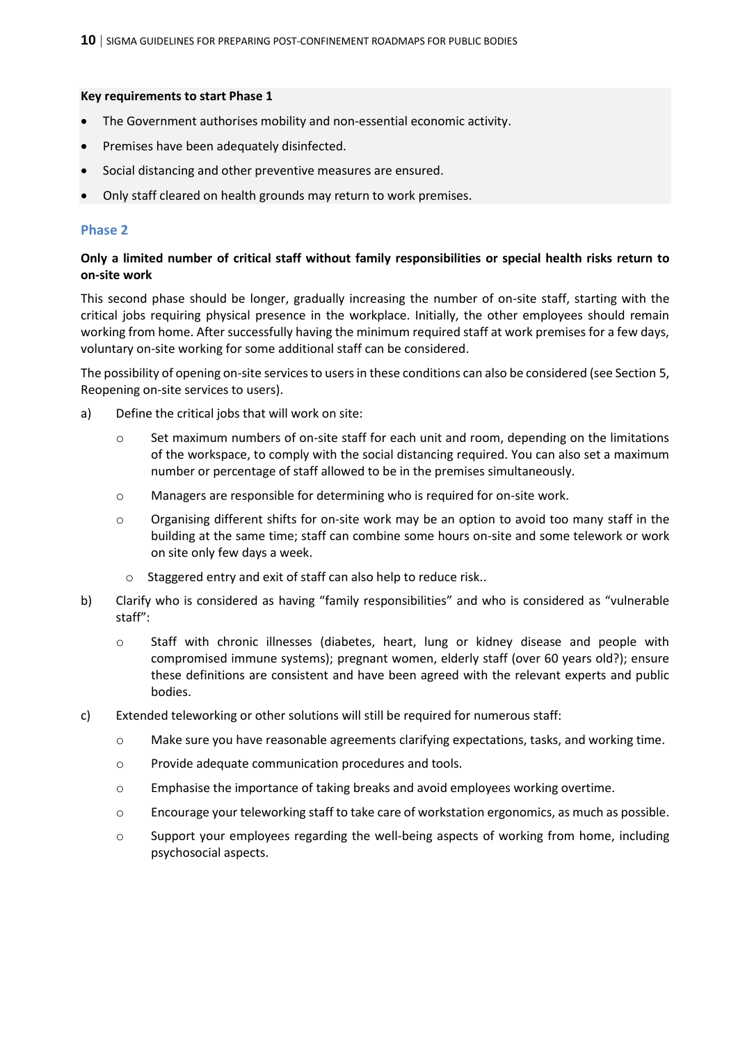#### **Key requirements to start Phase 1**

- The Government authorises mobility and non-essential economic activity.
- Premises have been adequately disinfected.
- Social distancing and other preventive measures are ensured.
- Only staff cleared on health grounds may return to work premises.

### **Phase 2**

# **Only a limited number of critical staff without family responsibilities or special health risks return to on-site work**

This second phase should be longer, gradually increasing the number of on-site staff, starting with the critical jobs requiring physical presence in the workplace. Initially, the other employees should remain working from home. After successfully having the minimum required staff at work premises for a few days, voluntary on-site working for some additional staff can be considered.

The possibility of opening on-site services to users in these conditions can also be considered (see Section 5, Reopening on-site services to users).

- a) Define the critical jobs that will work on site:
	- o Set maximum numbers of on-site staff for each unit and room, depending on the limitations of the workspace, to comply with the social distancing required. You can also set a maximum number or percentage of staff allowed to be in the premises simultaneously.
	- o Managers are responsible for determining who is required for on-site work.
	- $\circ$  Organising different shifts for on-site work may be an option to avoid too many staff in the building at the same time; staff can combine some hours on-site and some telework or work on site only few days a week.
		- o Staggered entry and exit of staff can also help to reduce risk..
- b) Clarify who is considered as having "family responsibilities" and who is considered as "vulnerable staff":
	- o Staff with chronic illnesses (diabetes, heart, lung or kidney disease and people with compromised immune systems); pregnant women, elderly staff (over 60 years old?); ensure these definitions are consistent and have been agreed with the relevant experts and public bodies.
- c) Extended teleworking or other solutions will still be required for numerous staff:
	- o Make sure you have reasonable agreements clarifying expectations, tasks, and working time.
	- o Provide adequate communication procedures and tools.
	- o Emphasise the importance of taking breaks and avoid employees working overtime.
	- o Encourage your teleworking staff to take care of workstation ergonomics, as much as possible.
	- o Support your employees regarding the well-being aspects of working from home, including psychosocial aspects.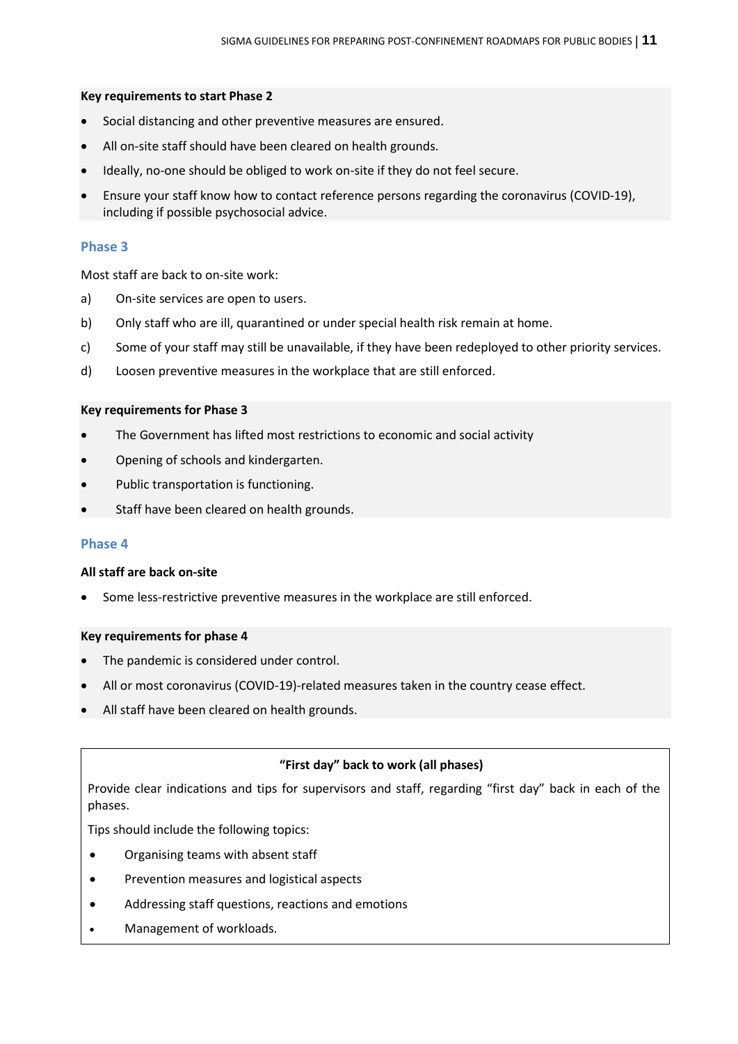# **Key requirements to start Phase 2**

- Social distancing and other preventive measures are ensured.
- All on-site staff should have been cleared on health grounds.
- Ideally, no-one should be obliged to work on-site if they do not feel secure.
- Ensure your staff know how to contact reference persons regarding the coronavirus (COVID-19), including if possible psychosocial advice.

### **Phase 3**

Most staff are back to on-site work:

- a) On-site services are open to users.
- b) Only staff who are ill, quarantined or under special health risk remain at home.
- c) Some of your staff may still be unavailable, if they have been redeployed to other priority services.
- d) Loosen preventive measures in the workplace that are still enforced.

#### **Key requirements for Phase 3**

- The Government has lifted most restrictions to economic and social activity
- Opening of schools and kindergarten.
- Public transportation is functioning.
- Staff have been cleared on health grounds.

# **Phase 4**

#### **All staff are back on-site**

Some less-restrictive preventive measures in the workplace are still enforced.

#### **Key requirements for phase 4**

- The pandemic is considered under control.
- All or most coronavirus (COVID-19)-related measures taken in the country cease effect.
- All staff have been cleared on health grounds.

# **"First day" back to work (all phases)**

Provide clear indications and tips for supervisors and staff, regarding "first day" back in each of the phases.

Tips should include the following topics:

- Organising teams with absent staff
- Prevention measures and logistical aspects
- Addressing staff questions, reactions and emotions
- Management of workloads.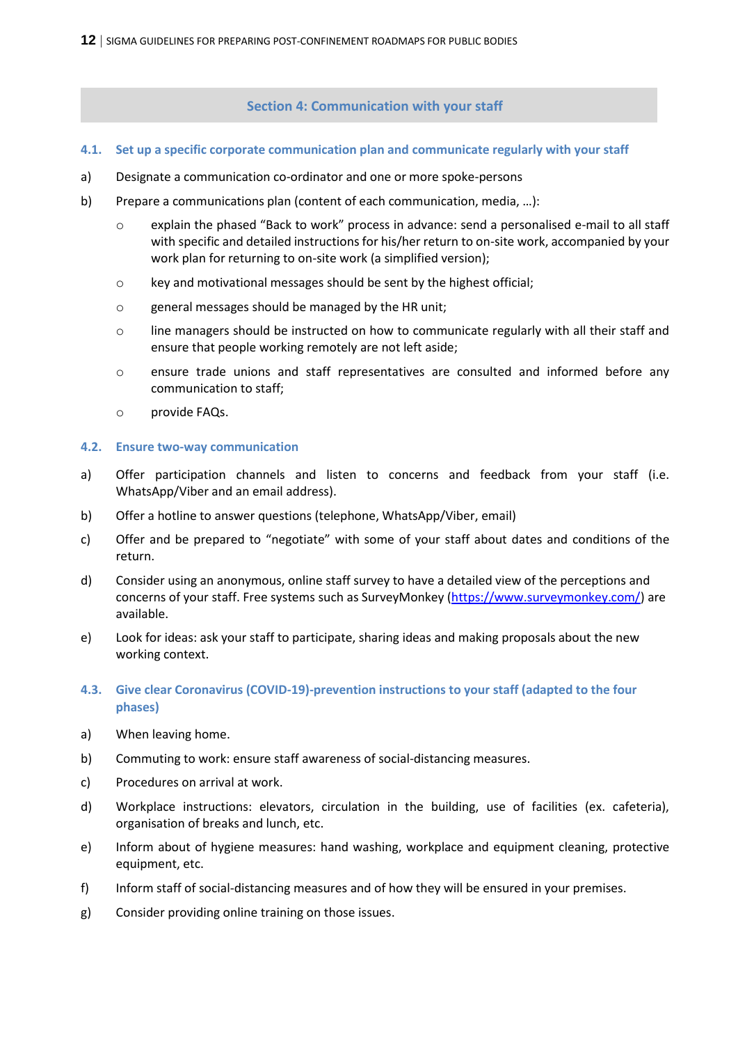# **Section 4: Communication with your staff**

# <span id="page-11-0"></span>**4.1. Set up a specific corporate communication plan and communicate regularly with your staff**

- a) Designate a communication co-ordinator and one or more spoke-persons
- b) Prepare a communications plan (content of each communication, media, …):
	- $\circ$  explain the phased "Back to work" process in advance: send a personalised e-mail to all staff with specific and detailed instructions for his/her return to on-site work, accompanied by your work plan for returning to on-site work (a simplified version);
	- o key and motivational messages should be sent by the highest official;
	- o general messages should be managed by the HR unit;
	- o line managers should be instructed on how to communicate regularly with all their staff and ensure that people working remotely are not left aside;
	- o ensure trade unions and staff representatives are consulted and informed before any communication to staff;
	- o provide FAQs.

# **4.2. Ensure two-way communication**

- a) Offer participation channels and listen to concerns and feedback from your staff (i.e. WhatsApp/Viber and an email address).
- b) Offer a hotline to answer questions (telephone, WhatsApp/Viber, email)
- c) Offer and be prepared to "negotiate" with some of your staff about dates and conditions of the return.
- d) Consider using an anonymous, online staff survey to have a detailed view of the perceptions and concerns of your staff. Free systems such as SurveyMonkey [\(https://www.surveymonkey.com/\)](https://www.surveymonkey.com/) are available.
- e) Look for ideas: ask your staff to participate, sharing ideas and making proposals about the new working context.
- **4.3. Give clear Coronavirus (COVID-19)-prevention instructions to your staff (adapted to the four phases)**
- a) When leaving home.
- b) Commuting to work: ensure staff awareness of social-distancing measures.
- c) Procedures on arrival at work.
- d) Workplace instructions: elevators, circulation in the building, use of facilities (ex. cafeteria), organisation of breaks and lunch, etc.
- e) Inform about of hygiene measures: hand washing, workplace and equipment cleaning, protective equipment, etc.
- f) Inform staff of social-distancing measures and of how they will be ensured in your premises.
- g) Consider providing online training on those issues.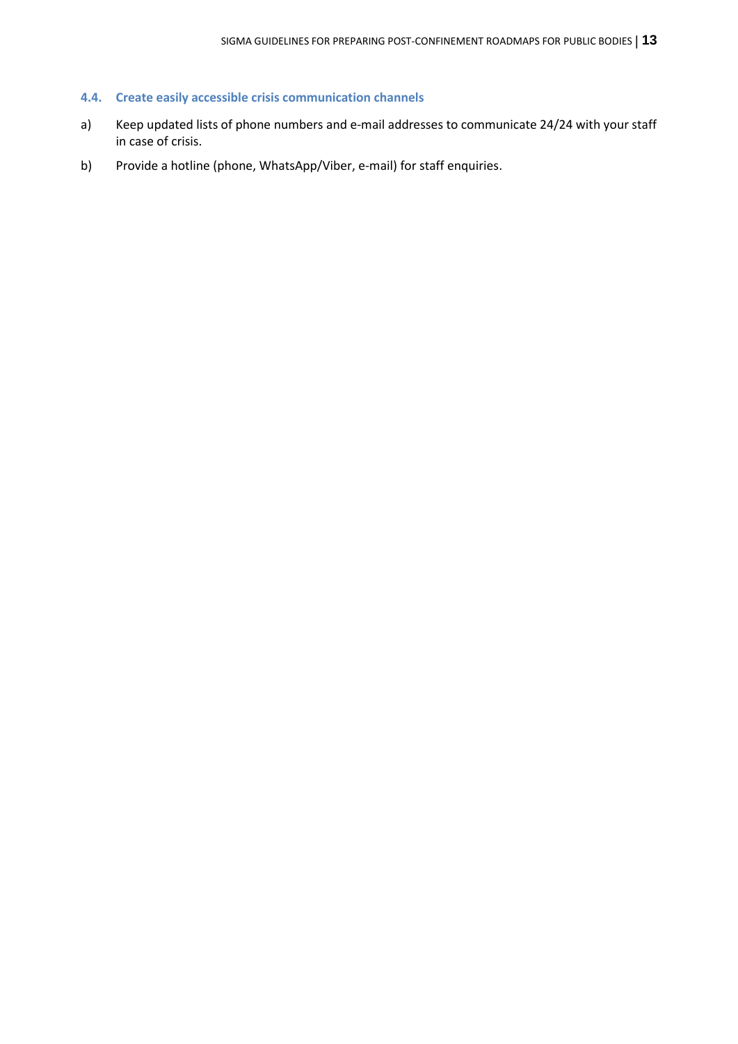# **4.4. Create easily accessible crisis communication channels**

- a) Keep updated lists of phone numbers and e-mail addresses to communicate 24/24 with your staff in case of crisis.
- b) Provide a hotline (phone, WhatsApp/Viber, e-mail) for staff enquiries.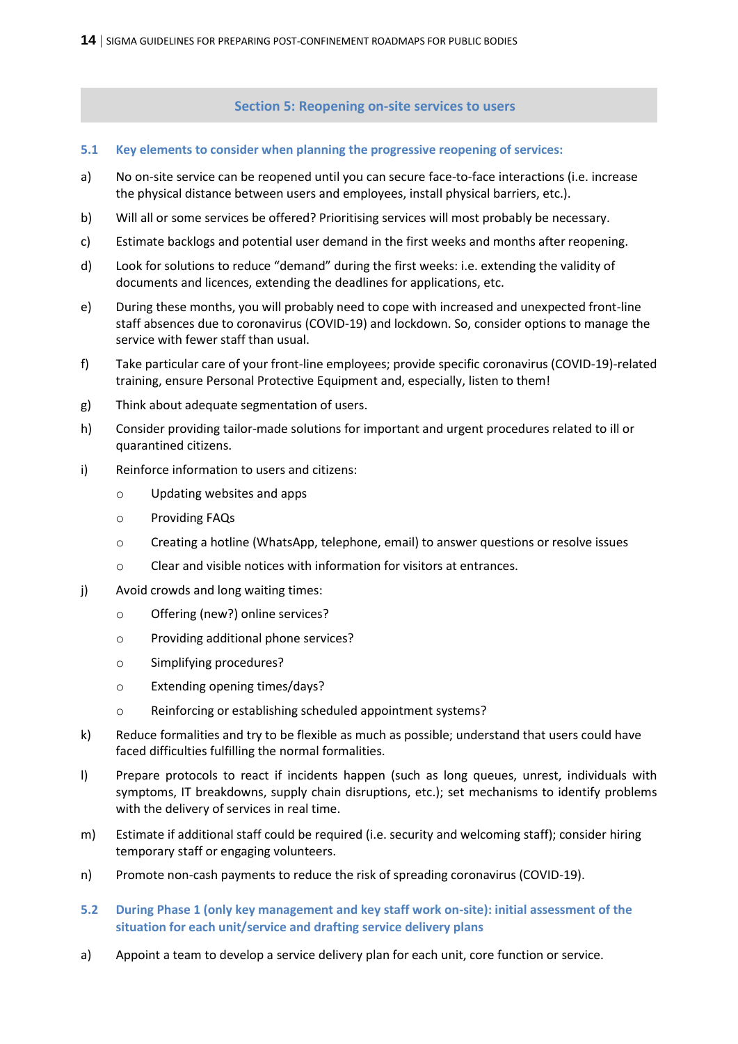**Section 5: Reopening on-site services to users**

- <span id="page-13-0"></span>**5.1 Key elements to consider when planning the progressive reopening of services:**
- a) No on-site service can be reopened until you can secure face-to-face interactions (i.e. increase the physical distance between users and employees, install physical barriers, etc.).
- b) Will all or some services be offered? Prioritising services will most probably be necessary.
- c) Estimate backlogs and potential user demand in the first weeks and months after reopening.
- d) Look for solutions to reduce "demand" during the first weeks: i.e. extending the validity of documents and licences, extending the deadlines for applications, etc.
- e) During these months, you will probably need to cope with increased and unexpected front-line staff absences due to coronavirus (COVID-19) and lockdown. So, consider options to manage the service with fewer staff than usual.
- f) Take particular care of your front-line employees; provide specific coronavirus (COVID-19)-related training, ensure Personal Protective Equipment and, especially, listen to them!
- g) Think about adequate segmentation of users.
- h) Consider providing tailor-made solutions for important and urgent procedures related to ill or quarantined citizens.
- i) Reinforce information to users and citizens:
	- o Updating websites and apps
	- o Providing FAQs
	- o Creating a hotline (WhatsApp, telephone, email) to answer questions or resolve issues
	- o Clear and visible notices with information for visitors at entrances.
- j) Avoid crowds and long waiting times:
	- o Offering (new?) online services?
	- o Providing additional phone services?
	- o Simplifying procedures?
	- o Extending opening times/days?
	- o Reinforcing or establishing scheduled appointment systems?
- k) Reduce formalities and try to be flexible as much as possible; understand that users could have faced difficulties fulfilling the normal formalities.
- l) Prepare protocols to react if incidents happen (such as long queues, unrest, individuals with symptoms, IT breakdowns, supply chain disruptions, etc.); set mechanisms to identify problems with the delivery of services in real time.
- m) Estimate if additional staff could be required (i.e. security and welcoming staff); consider hiring temporary staff or engaging volunteers.
- n) Promote non-cash payments to reduce the risk of spreading coronavirus (COVID-19).
- **5.2 During Phase 1 (only key management and key staff work on-site): initial assessment of the situation for each unit/service and drafting service delivery plans**
- a) Appoint a team to develop a service delivery plan for each unit, core function or service.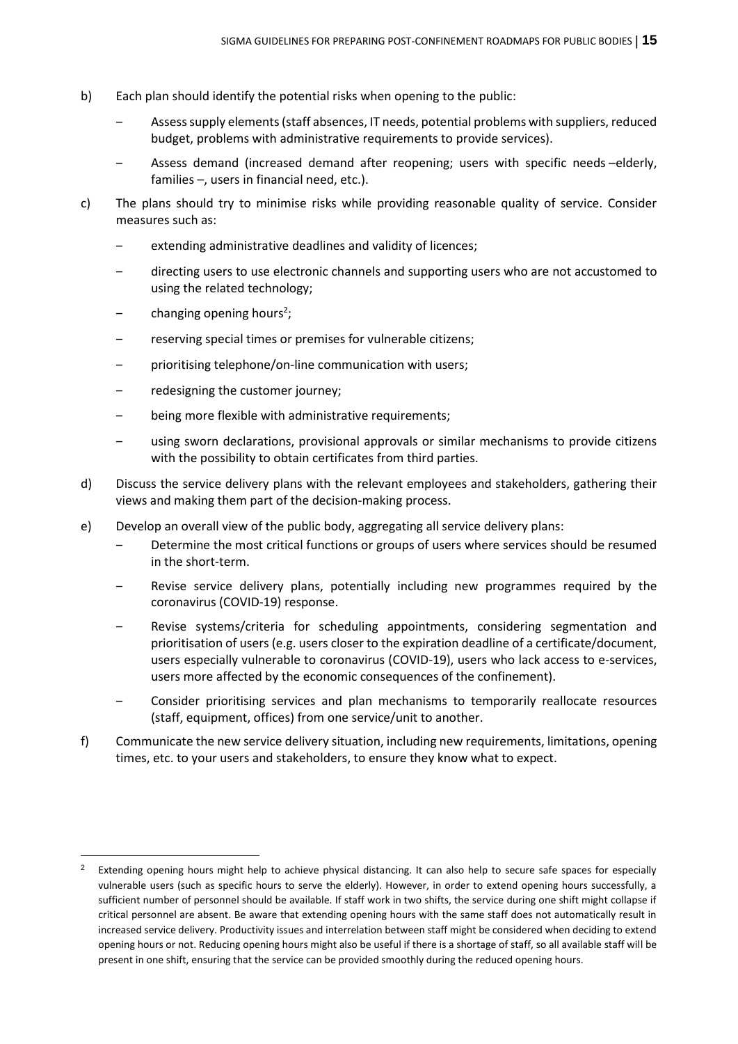- b) Each plan should identify the potential risks when opening to the public:
	- Assess supply elements (staff absences, IT needs, potential problems with suppliers, reduced budget, problems with administrative requirements to provide services).
	- ‒ Assess demand (increased demand after reopening; users with specific needs –elderly, families –, users in financial need, etc.).
- c) The plans should try to minimise risks while providing reasonable quality of service. Consider measures such as:
	- extending administrative deadlines and validity of licences;
	- ‒ directing users to use electronic channels and supporting users who are not accustomed to using the related technology;
	- changing opening hours<sup>2</sup>;

- reserving special times or premises for vulnerable citizens;
- ‒ prioritising telephone/on-line communication with users;
- redesigning the customer journey;
- being more flexible with administrative requirements;
- ‒ using sworn declarations, provisional approvals or similar mechanisms to provide citizens with the possibility to obtain certificates from third parties.
- d) Discuss the service delivery plans with the relevant employees and stakeholders, gathering their views and making them part of the decision-making process.
- e) Develop an overall view of the public body, aggregating all service delivery plans:
	- ‒ Determine the most critical functions or groups of users where services should be resumed in the short-term.
	- ‒ Revise service delivery plans, potentially including new programmes required by the coronavirus (COVID-19) response.
	- ‒ Revise systems/criteria for scheduling appointments, considering segmentation and prioritisation of users (e.g. users closer to the expiration deadline of a certificate/document, users especially vulnerable to coronavirus (COVID-19), users who lack access to e-services, users more affected by the economic consequences of the confinement).
	- ‒ Consider prioritising services and plan mechanisms to temporarily reallocate resources (staff, equipment, offices) from one service/unit to another.
- f) Communicate the new service delivery situation, including new requirements, limitations, opening times, etc. to your users and stakeholders, to ensure they know what to expect.

<sup>2</sup> Extending opening hours might help to achieve physical distancing. It can also help to secure safe spaces for especially vulnerable users (such as specific hours to serve the elderly). However, in order to extend opening hours successfully, a sufficient number of personnel should be available. If staff work in two shifts, the service during one shift might collapse if critical personnel are absent. Be aware that extending opening hours with the same staff does not automatically result in increased service delivery. Productivity issues and interrelation between staff might be considered when deciding to extend opening hours or not. Reducing opening hours might also be useful if there is a shortage of staff, so all available staff will be present in one shift, ensuring that the service can be provided smoothly during the reduced opening hours.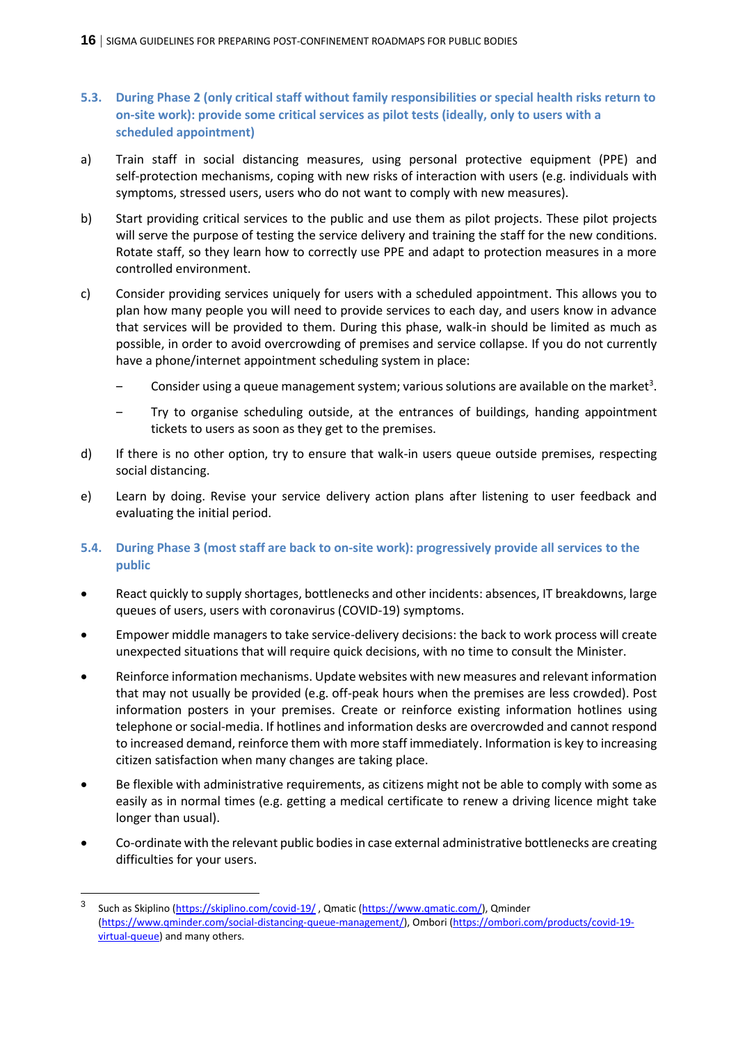- **5.3. During Phase 2 (only critical staff without family responsibilities or special health risks return to on-site work): provide some critical services as pilot tests (ideally, only to users with a scheduled appointment)**
- a) Train staff in social distancing measures, using personal protective equipment (PPE) and self-protection mechanisms, coping with new risks of interaction with users (e.g. individuals with symptoms, stressed users, users who do not want to comply with new measures).
- b) Start providing critical services to the public and use them as pilot projects. These pilot projects will serve the purpose of testing the service delivery and training the staff for the new conditions. Rotate staff, so they learn how to correctly use PPE and adapt to protection measures in a more controlled environment.
- c) Consider providing services uniquely for users with a scheduled appointment. This allows you to plan how many people you will need to provide services to each day, and users know in advance that services will be provided to them. During this phase, walk-in should be limited as much as possible, in order to avoid overcrowding of premises and service collapse. If you do not currently have a phone/internet appointment scheduling system in place:
	- Consider using a queue management system; various solutions are available on the market<sup>3</sup>.
	- ‒ Try to organise scheduling outside, at the entrances of buildings, handing appointment tickets to users as soon as they get to the premises.
- d) If there is no other option, try to ensure that walk-in users queue outside premises, respecting social distancing.
- e) Learn by doing. Revise your service delivery action plans after listening to user feedback and evaluating the initial period.
- **5.4. During Phase 3 (most staff are back to on-site work): progressively provide all services to the public**
- React quickly to supply shortages, bottlenecks and other incidents: absences, IT breakdowns, large queues of users, users with coronavirus (COVID-19) symptoms.
- Empower middle managers to take service-delivery decisions: the back to work process will create unexpected situations that will require quick decisions, with no time to consult the Minister.
- Reinforce information mechanisms. Update websites with new measures and relevant information that may not usually be provided (e.g. off-peak hours when the premises are less crowded). Post information posters in your premises. Create or reinforce existing information hotlines using telephone or social-media. If hotlines and information desks are overcrowded and cannot respond to increased demand, reinforce them with more staff immediately. Information is key to increasing citizen satisfaction when many changes are taking place.
- Be flexible with administrative requirements, as citizens might not be able to comply with some as easily as in normal times (e.g. getting a medical certificate to renew a driving licence might take longer than usual).
- Co-ordinate with the relevant public bodies in case external administrative bottlenecks are creating difficulties for your users.

 $\overline{a}$ 

<sup>3</sup> Such as Skiplino [\(https://skiplino.com/covid-19/](https://skiplino.com/covid-19/) , Qmatic [\(https://www.qmatic.com/\)](https://www.qmatic.com/), Qminder [\(https://www.qminder.com/social-distancing-queue-management/\)](https://www.qminder.com/social-distancing-queue-management/), Ombori [\(https://ombori.com/products/covid-19](https://ombori.com/products/covid-19-virtual-queue) [virtual-queue\)](https://ombori.com/products/covid-19-virtual-queue) and many others.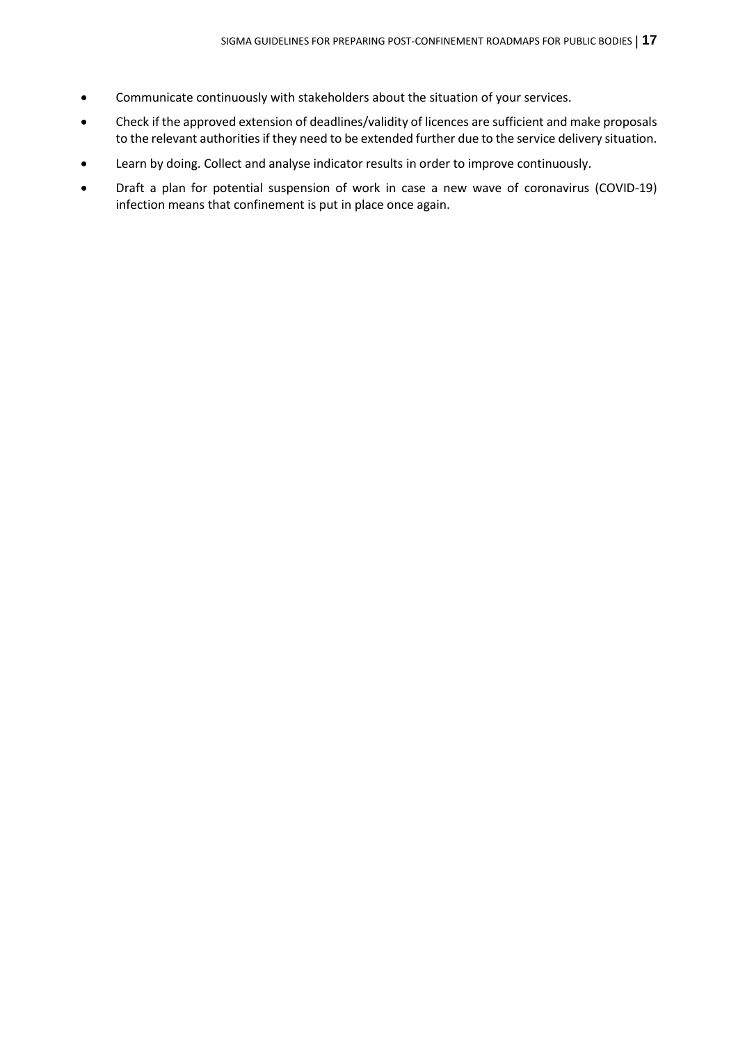- Communicate continuously with stakeholders about the situation of your services.
- Check if the approved extension of deadlines/validity of licences are sufficient and make proposals to the relevant authorities if they need to be extended further due to the service delivery situation.
- Learn by doing. Collect and analyse indicator results in order to improve continuously.
- Draft a plan for potential suspension of work in case a new wave of coronavirus (COVID-19) infection means that confinement is put in place once again.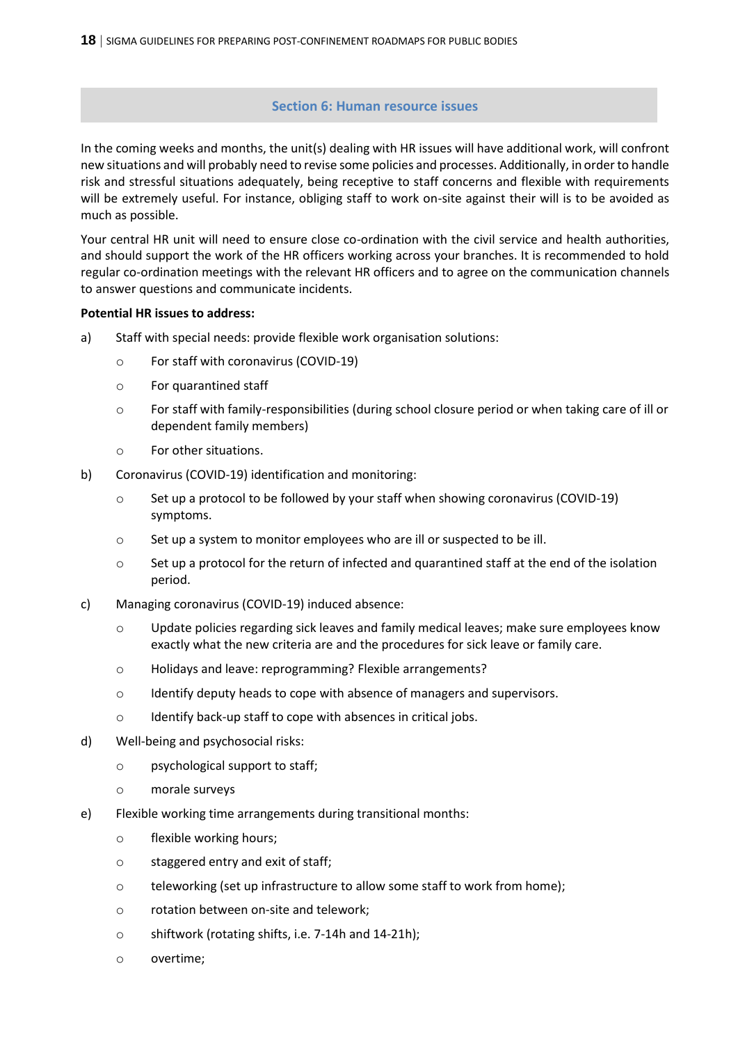### **Section 6: Human resource issues**

<span id="page-17-0"></span>In the coming weeks and months, the unit(s) dealing with HR issues will have additional work, will confront new situations and will probably need to revise some policies and processes. Additionally, in order to handle risk and stressful situations adequately, being receptive to staff concerns and flexible with requirements will be extremely useful. For instance, obliging staff to work on-site against their will is to be avoided as much as possible.

Your central HR unit will need to ensure close co-ordination with the civil service and health authorities, and should support the work of the HR officers working across your branches. It is recommended to hold regular co-ordination meetings with the relevant HR officers and to agree on the communication channels to answer questions and communicate incidents.

#### **Potential HR issues to address:**

- a) Staff with special needs: provide flexible work organisation solutions:
	- o For staff with coronavirus (COVID-19)
	- o For quarantined staff
	- o For staff with family-responsibilities (during school closure period or when taking care of ill or dependent family members)
	- o For other situations.
- b) Coronavirus (COVID-19) identification and monitoring:
	- o Set up a protocol to be followed by your staff when showing coronavirus (COVID-19) symptoms.
	- o Set up a system to monitor employees who are ill or suspected to be ill.
	- $\circ$  Set up a protocol for the return of infected and quarantined staff at the end of the isolation period.
- c) Managing coronavirus (COVID-19) induced absence:
	- o Update policies regarding sick leaves and family medical leaves; make sure employees know exactly what the new criteria are and the procedures for sick leave or family care.
	- o Holidays and leave: reprogramming? Flexible arrangements?
	- o Identify deputy heads to cope with absence of managers and supervisors.
	- o Identify back-up staff to cope with absences in critical jobs.
- d) Well-being and psychosocial risks:
	- o psychological support to staff;
	- o morale surveys
- e) Flexible working time arrangements during transitional months:
	- o flexible working hours;
	- o staggered entry and exit of staff;
	- o teleworking (set up infrastructure to allow some staff to work from home);
	- o rotation between on-site and telework;
	- o shiftwork (rotating shifts, i.e. 7-14h and 14-21h);
	- o overtime;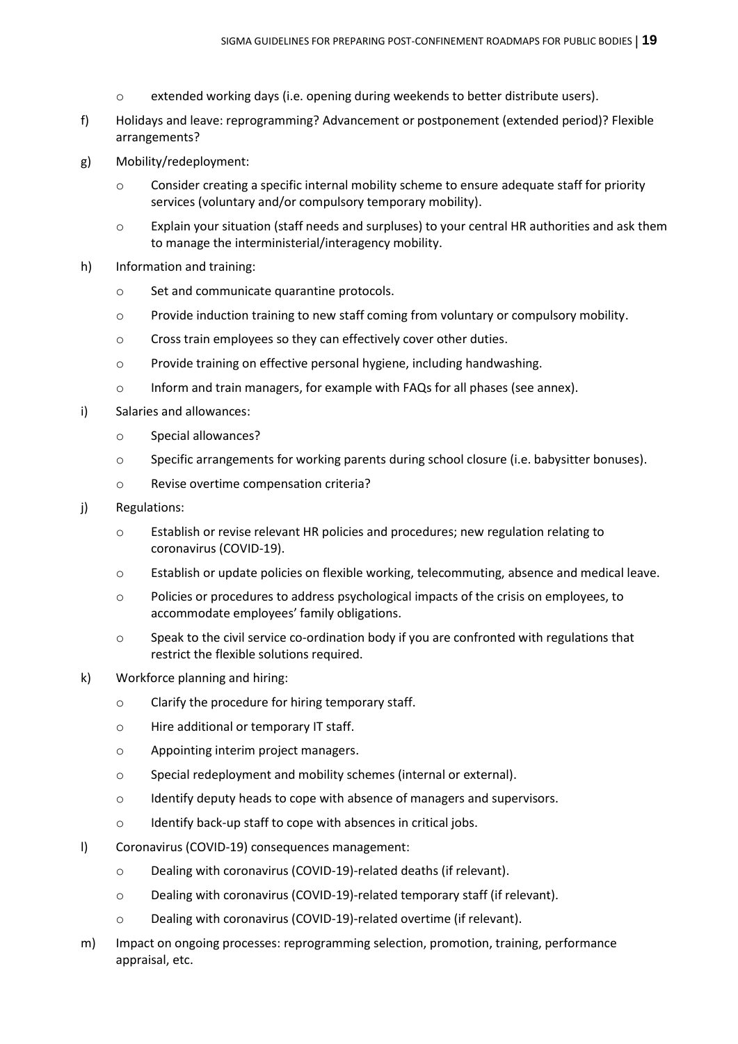- o extended working days (i.e. opening during weekends to better distribute users).
- f) Holidays and leave: reprogramming? Advancement or postponement (extended period)? Flexible arrangements?
- g) Mobility/redeployment:
	- o Consider creating a specific internal mobility scheme to ensure adequate staff for priority services (voluntary and/or compulsory temporary mobility).
	- o Explain your situation (staff needs and surpluses) to your central HR authorities and ask them to manage the interministerial/interagency mobility.
- h) Information and training:
	- o Set and communicate quarantine protocols.
	- o Provide induction training to new staff coming from voluntary or compulsory mobility.
	- o Cross train employees so they can effectively cover other duties.
	- o Provide training on effective personal hygiene, including handwashing.
	- o Inform and train managers, for example with FAQs for all phases (see annex).
- i) Salaries and allowances:
	- o Special allowances?
	- o Specific arrangements for working parents during school closure (i.e. babysitter bonuses).
	- o Revise overtime compensation criteria?

#### j) Regulations:

- o Establish or revise relevant HR policies and procedures; new regulation relating to coronavirus (COVID-19).
- o Establish or update policies on flexible working, telecommuting, absence and medical leave.
- o Policies or procedures to address psychological impacts of the crisis on employees, to accommodate employees' family obligations.
- o Speak to the civil service co-ordination body if you are confronted with regulations that restrict the flexible solutions required.
- k) Workforce planning and hiring:
	- o Clarify the procedure for hiring temporary staff.
	- o Hire additional or temporary IT staff.
	- o Appointing interim project managers.
	- o Special redeployment and mobility schemes (internal or external).
	- o Identify deputy heads to cope with absence of managers and supervisors.
	- o Identify back-up staff to cope with absences in critical jobs.
- l) Coronavirus (COVID-19) consequences management:
	- o Dealing with coronavirus (COVID-19)-related deaths (if relevant).
	- o Dealing with coronavirus (COVID-19)-related temporary staff (if relevant).
	- o Dealing with coronavirus (COVID-19)-related overtime (if relevant).
- m) Impact on ongoing processes: reprogramming selection, promotion, training, performance appraisal, etc.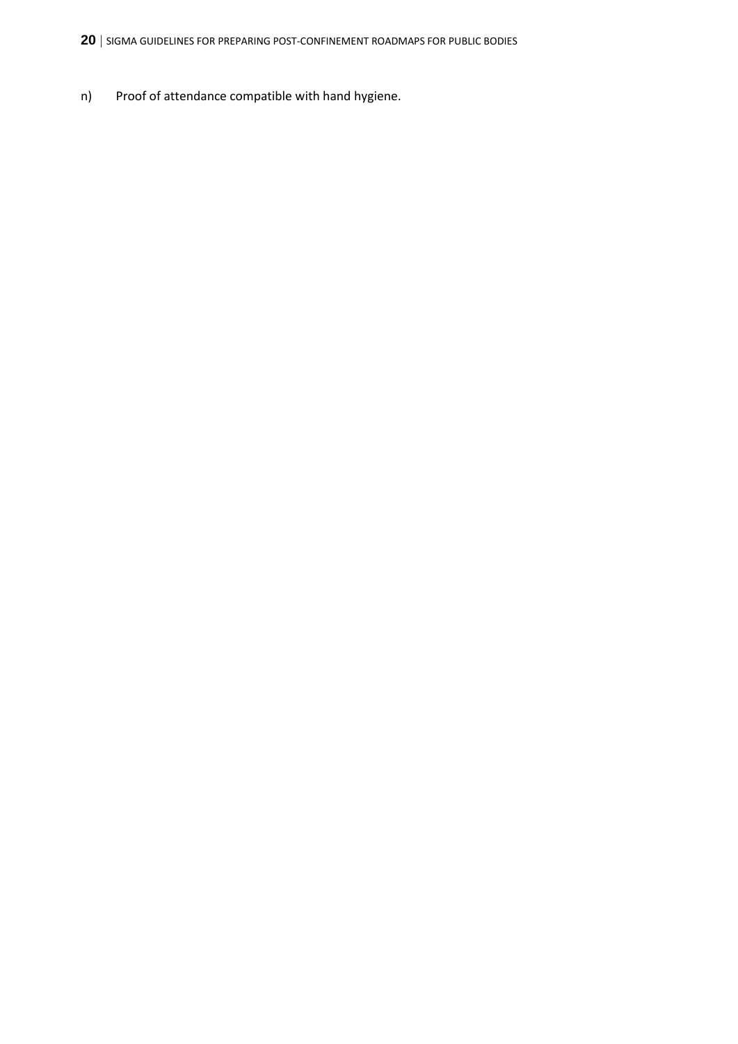n) Proof of attendance compatible with hand hygiene.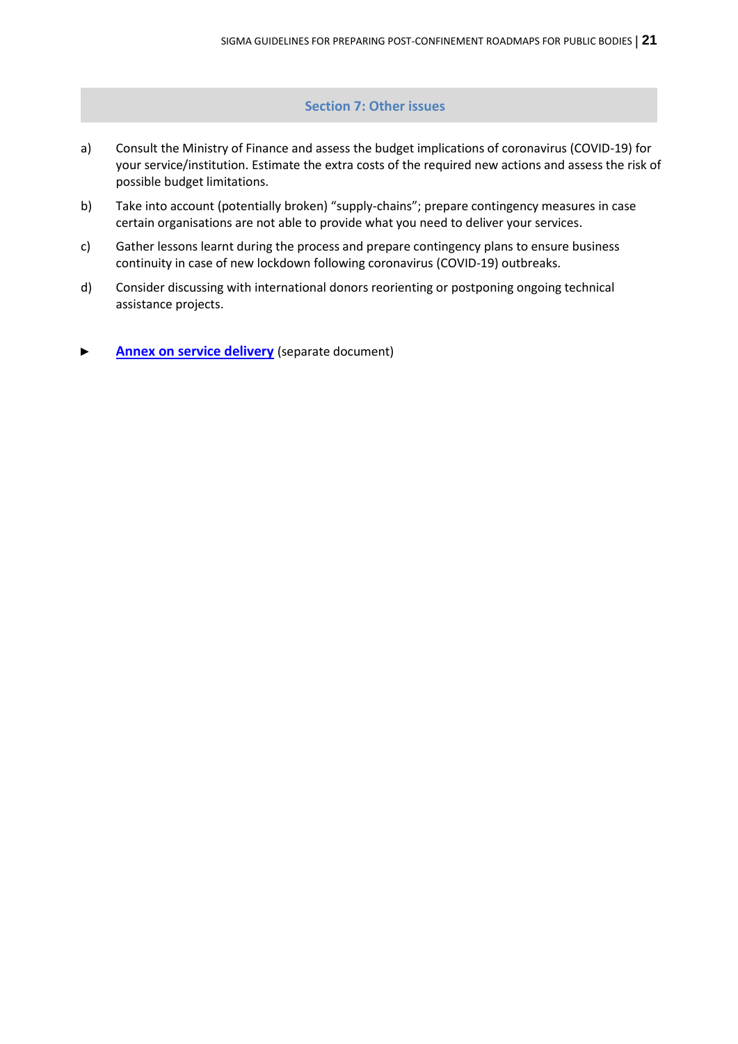# **Section 7: Other issues**

- <span id="page-20-0"></span>a) Consult the Ministry of Finance and assess the budget implications of coronavirus (COVID-19) for your service/institution. Estimate the extra costs of the required new actions and assess the risk of possible budget limitations.
- b) Take into account (potentially broken) "supply-chains"; prepare contingency measures in case certain organisations are not able to provide what you need to deliver your services.
- c) Gather lessons learnt during the process and prepare contingency plans to ensure business continuity in case of new lockdown following coronavirus (COVID-19) outbreaks.
- d) Consider discussing with international donors reorienting or postponing ongoing technical assistance projects.
- **[Annex on service delivery](http://www.sigmaweb.org/publications/SIGMA-post-confinement-roadmaps-public-bodies-guidelines-annex-service-delivery-5-june-2020.pdf)** (separate document)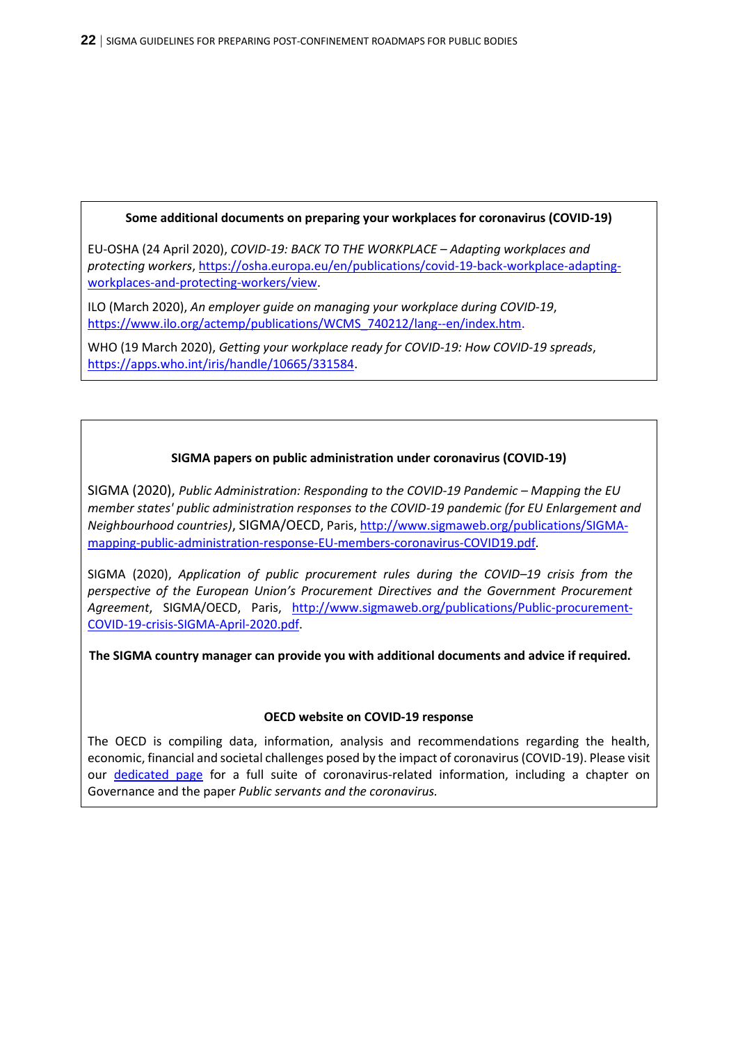# **Some additional documents on preparing your workplaces for coronavirus (COVID-19)**

EU-OSHA (24 April 2020), *COVID-19: BACK TO THE WORKPLACE – Adapting workplaces and protecting workers*, [https://osha.europa.eu/en/publications/covid-19-back-workplace-adapting](https://osha.europa.eu/en/publications/covid-19-back-workplace-adapting-workplaces-and-protecting-workers/view)[workplaces-and-protecting-workers/view.](https://osha.europa.eu/en/publications/covid-19-back-workplace-adapting-workplaces-and-protecting-workers/view)

ILO (March 2020), *An employer guide on managing your workplace during COVID-19*, [https://www.ilo.org/actemp/publications/WCMS\\_740212/lang--en/index.htm.](https://www.ilo.org/actemp/publications/WCMS_740212/lang--en/index.htm)

WHO (19 March 2020), *Getting your workplace ready for COVID-19: How COVID-19 spreads*, [https://apps.who.int/iris/handle/10665/331584.](https://apps.who.int/iris/handle/10665/331584)

# **SIGMA papers on public administration under coronavirus (COVID-19)**

SIGMA (2020), *Public Administration: Responding to the COVID-19 Pandemic – Mapping the EU member states' public administration responses to the COVID-19 pandemic (for EU Enlargement and Neighbourhood countries)*, SIGMA/OECD, Paris[, http://www.sigmaweb.org/publications/SIGMA](http://www.sigmaweb.org/publications/SIGMA-mapping-public-administration-response-EU-members-coronavirus-COVID19.pdf)[mapping-public-administration-response-EU-members-coronavirus-COVID19.pdf.](http://www.sigmaweb.org/publications/SIGMA-mapping-public-administration-response-EU-members-coronavirus-COVID19.pdf)

SIGMA (2020), *Application of public procurement rules during the COVID–19 crisis from the perspective of the European Union's Procurement Directives and the Government Procurement Agreement*, SIGMA/OECD, Paris, [http://www.sigmaweb.org/publications/Public-procurement-](http://www.sigmaweb.org/publications/Public-procurement-COVID-19-crisis-SIGMA-April-2020.pdf)[COVID-19-crisis-SIGMA-April-2020.pdf.](http://www.sigmaweb.org/publications/Public-procurement-COVID-19-crisis-SIGMA-April-2020.pdf)

**The SIGMA country manager can provide you with additional documents and advice if required.**

# **OECD website on COVID-19 response**

The OECD is compiling data, information, analysis and recommendations regarding the health, economic, financial and societal challenges posed by the impact of coronavirus (COVID-19). Please visit our [dedicated page](http://www.oecd.org/coronavirus/en/) for a full suite of coronavirus-related information, including a chapter on Governance and the paper *Public servants and the coronavirus.*